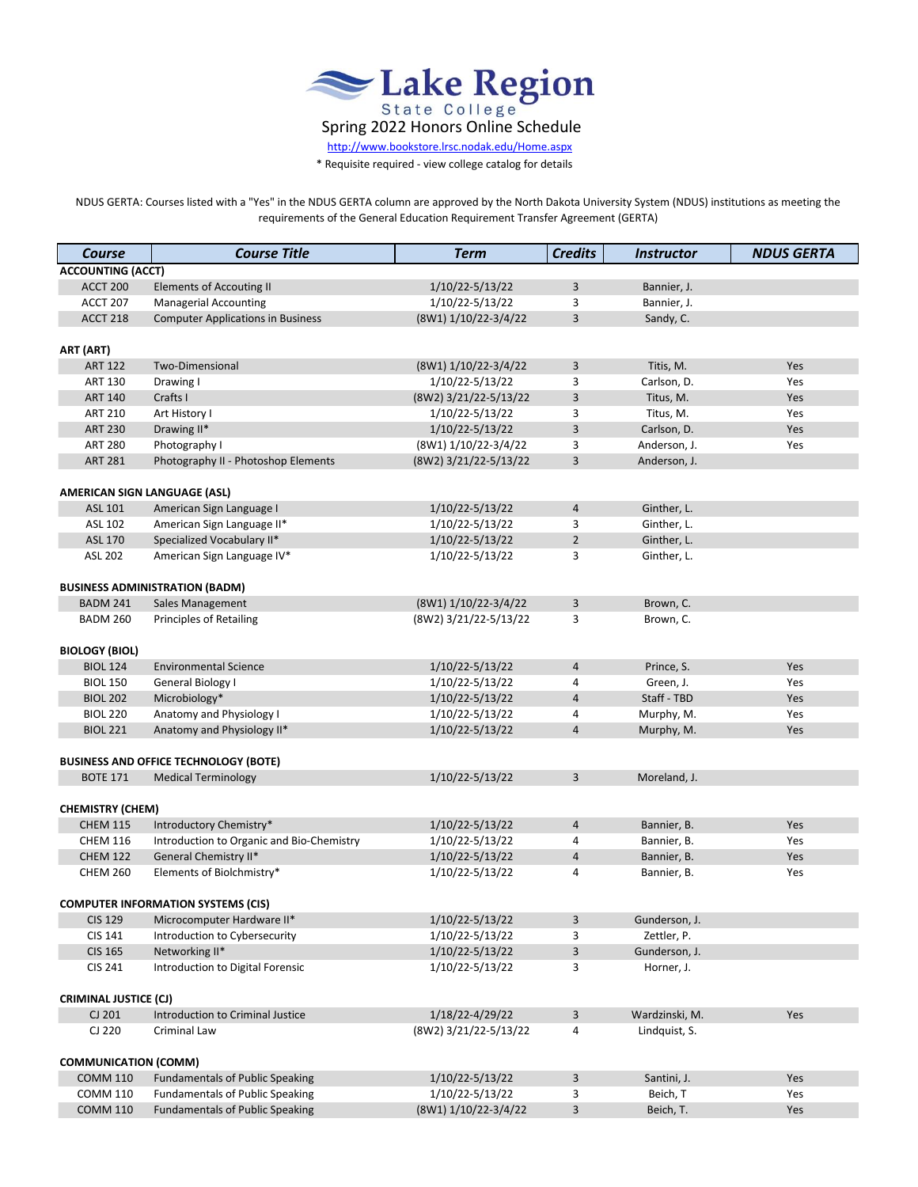

 [http://www.b](http://www.bookstore.lrsc.nodak.edu/Home.aspx)ookstore.lrsc.nodak.edu/Home.aspx

\* Requisite required - view college catalog for details

NDUS GERTA: Courses listed with a "Yes" in the NDUS GERTA column are approved by the North Dakota University System (NDUS) institutions as meeting the requirements of the General Education Requirement Transfer Agreement (GERTA)

| <b>Course</b>                      | <b>Course Title</b>                                                              | <b>Term</b>                             | <b>Credits</b>          | <i><u><b>Instructor</b></u></i> | <b>NDUS GERTA</b> |  |  |
|------------------------------------|----------------------------------------------------------------------------------|-----------------------------------------|-------------------------|---------------------------------|-------------------|--|--|
| <b>ACCOUNTING (ACCT)</b>           |                                                                                  |                                         |                         |                                 |                   |  |  |
| ACCT 200                           | <b>Elements of Accouting II</b>                                                  | 1/10/22-5/13/22                         | 3                       | Bannier, J.                     |                   |  |  |
| <b>ACCT 207</b>                    | <b>Managerial Accounting</b>                                                     | 1/10/22-5/13/22                         | 3                       | Bannier, J.                     |                   |  |  |
| ACCT 218                           | <b>Computer Applications in Business</b>                                         | (8W1) 1/10/22-3/4/22                    | 3                       | Sandy, C.                       |                   |  |  |
|                                    |                                                                                  |                                         |                         |                                 |                   |  |  |
| ART (ART)                          |                                                                                  |                                         |                         |                                 |                   |  |  |
| <b>ART 122</b>                     | Two-Dimensional                                                                  | (8W1) 1/10/22-3/4/22                    | 3                       | Titis, M.                       | Yes               |  |  |
| <b>ART 130</b>                     | Drawing I                                                                        | 1/10/22-5/13/22                         | 3                       | Carlson, D.                     | Yes               |  |  |
| <b>ART 140</b>                     | Crafts I                                                                         | (8W2) 3/21/22-5/13/22                   | 3                       | Titus, M.                       | Yes               |  |  |
| <b>ART 210</b>                     | Art History I                                                                    | 1/10/22-5/13/22                         | 3                       | Titus, M.                       | Yes               |  |  |
| <b>ART 230</b>                     | Drawing II*                                                                      | 1/10/22-5/13/22                         | 3                       | Carlson, D.                     | Yes               |  |  |
| <b>ART 280</b>                     | Photography I                                                                    | (8W1) 1/10/22-3/4/22                    | 3                       | Anderson, J.                    | Yes               |  |  |
| <b>ART 281</b>                     | Photography II - Photoshop Elements                                              | (8W2) 3/21/22-5/13/22                   | 3                       | Anderson, J.                    |                   |  |  |
|                                    |                                                                                  |                                         |                         |                                 |                   |  |  |
|                                    | AMERICAN SIGN LANGUAGE (ASL)                                                     |                                         |                         |                                 |                   |  |  |
| ASL 101                            | American Sign Language I                                                         | 1/10/22-5/13/22                         | $\overline{a}$          | Ginther, L.                     |                   |  |  |
| ASL 102                            | American Sign Language II*                                                       | 1/10/22-5/13/22                         | 3                       | Ginther, L.                     |                   |  |  |
| <b>ASL 170</b>                     | Specialized Vocabulary II*                                                       | 1/10/22-5/13/22                         | $\overline{2}$          | Ginther, L.                     |                   |  |  |
| <b>ASL 202</b>                     | American Sign Language IV*                                                       | 1/10/22-5/13/22                         | 3                       | Ginther, L.                     |                   |  |  |
|                                    |                                                                                  |                                         |                         |                                 |                   |  |  |
|                                    | <b>BUSINESS ADMINISTRATION (BADM)</b>                                            |                                         |                         |                                 |                   |  |  |
| <b>BADM 241</b>                    | Sales Management                                                                 | (8W1) 1/10/22-3/4/22                    | $\overline{\mathbf{3}}$ | Brown, C.                       |                   |  |  |
| <b>BADM 260</b>                    | <b>Principles of Retailing</b>                                                   | (8W2) 3/21/22-5/13/22                   | 3                       | Brown, C.                       |                   |  |  |
|                                    |                                                                                  |                                         |                         |                                 |                   |  |  |
| <b>BIOLOGY (BIOL)</b>              |                                                                                  |                                         |                         |                                 |                   |  |  |
| <b>BIOL 124</b>                    | <b>Environmental Science</b>                                                     | 1/10/22-5/13/22                         | $\overline{4}$          | Prince, S.                      | Yes               |  |  |
| <b>BIOL 150</b>                    | General Biology I                                                                | 1/10/22-5/13/22                         | 4                       | Green, J.                       | Yes               |  |  |
| <b>BIOL 202</b>                    | Microbiology*                                                                    | 1/10/22-5/13/22                         | 4                       | Staff - TBD                     | Yes               |  |  |
| <b>BIOL 220</b><br><b>BIOL 221</b> | Anatomy and Physiology I                                                         | 1/10/22-5/13/22                         | 4<br>$\overline{4}$     | Murphy, M.                      | Yes               |  |  |
|                                    | Anatomy and Physiology II*                                                       | 1/10/22-5/13/22                         |                         | Murphy, M.                      | Yes               |  |  |
|                                    | <b>BUSINESS AND OFFICE TECHNOLOGY (BOTE)</b>                                     |                                         |                         |                                 |                   |  |  |
| <b>BOTE 171</b>                    | <b>Medical Terminology</b>                                                       | 1/10/22-5/13/22                         | 3                       | Moreland, J.                    |                   |  |  |
|                                    |                                                                                  |                                         |                         |                                 |                   |  |  |
| <b>CHEMISTRY (CHEM)</b>            |                                                                                  |                                         |                         |                                 |                   |  |  |
| <b>CHEM 115</b>                    | Introductory Chemistry*                                                          | 1/10/22-5/13/22                         | $\overline{4}$          | Bannier, B.                     | Yes               |  |  |
| <b>CHEM 116</b>                    | Introduction to Organic and Bio-Chemistry                                        | 1/10/22-5/13/22                         | 4                       | Bannier, B.                     | Yes               |  |  |
| <b>CHEM 122</b>                    | General Chemistry II*                                                            | 1/10/22-5/13/22                         | $\overline{4}$          | Bannier, B.                     | Yes               |  |  |
| <b>CHEM 260</b>                    | Elements of Biolchmistry*                                                        | 1/10/22-5/13/22                         | 4                       | Bannier, B.                     | Yes               |  |  |
|                                    |                                                                                  |                                         |                         |                                 |                   |  |  |
|                                    | <b>COMPUTER INFORMATION SYSTEMS (CIS)</b>                                        |                                         |                         |                                 |                   |  |  |
| <b>CIS 129</b>                     | Microcomputer Hardware II*                                                       | 1/10/22-5/13/22                         | 3                       | Gunderson, J.                   |                   |  |  |
| CIS 141                            | Introduction to Cybersecurity                                                    | 1/10/22-5/13/22                         | 3                       | Zettler, P.                     |                   |  |  |
| <b>CIS 165</b>                     | Networking II*                                                                   | 1/10/22-5/13/22                         | $\mathbf{3}$            | Gunderson, J.                   |                   |  |  |
| CIS 241                            | Introduction to Digital Forensic                                                 | 1/10/22-5/13/22                         | 3                       | Horner, J.                      |                   |  |  |
|                                    |                                                                                  |                                         |                         |                                 |                   |  |  |
| <b>CRIMINAL JUSTICE (CJ)</b>       |                                                                                  |                                         |                         |                                 |                   |  |  |
| CJ 201                             | Introduction to Criminal Justice                                                 | 1/18/22-4/29/22                         | 3                       | Wardzinski, M.                  | Yes               |  |  |
| CJ 220                             | Criminal Law                                                                     | (8W2) 3/21/22-5/13/22                   | 4                       | Lindquist, S.                   |                   |  |  |
|                                    |                                                                                  |                                         |                         |                                 |                   |  |  |
| <b>COMMUNICATION (COMM)</b>        |                                                                                  |                                         |                         |                                 |                   |  |  |
| <b>COMM 110</b>                    | <b>Fundamentals of Public Speaking</b>                                           | 1/10/22-5/13/22                         | 3                       | Santini, J.                     | Yes               |  |  |
| <b>COMM 110</b><br><b>COMM 110</b> | <b>Fundamentals of Public Speaking</b><br><b>Fundamentals of Public Speaking</b> | 1/10/22-5/13/22<br>(8W1) 1/10/22-3/4/22 | 3<br>$\mathsf 3$        | Beich, T<br>Beich, T.           | Yes               |  |  |
|                                    |                                                                                  |                                         |                         |                                 | Yes               |  |  |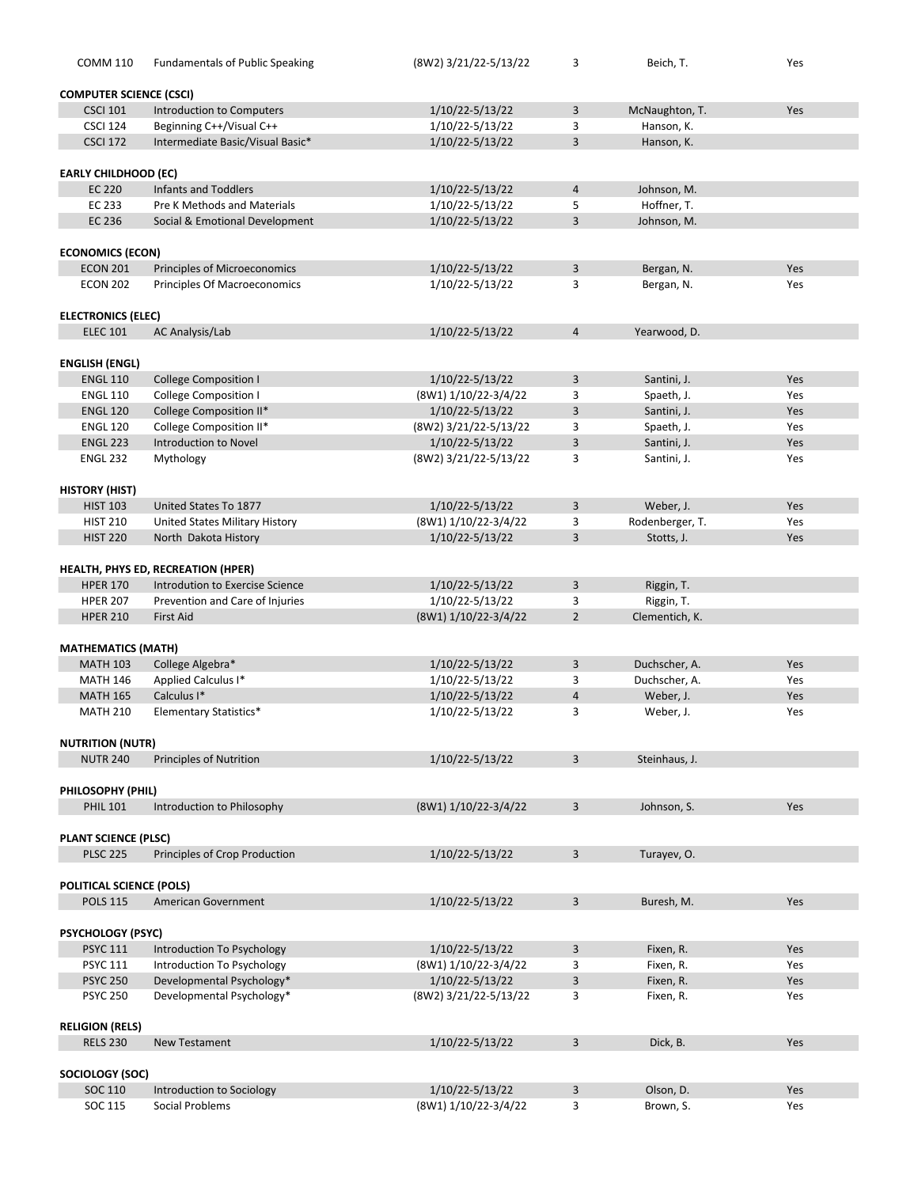| <b>COMM 110</b>                            | <b>Fundamentals of Public Speaking</b>                              | (8W2) 3/21/22-5/13/22 | 3              | Beich, T.       | Yes |  |  |
|--------------------------------------------|---------------------------------------------------------------------|-----------------------|----------------|-----------------|-----|--|--|
|                                            |                                                                     |                       |                |                 |     |  |  |
| <b>COMPUTER SCIENCE (CSCI)</b>             |                                                                     |                       |                |                 |     |  |  |
| <b>CSCI 101</b>                            | Introduction to Computers                                           | 1/10/22-5/13/22       | 3              | McNaughton, T.  | Yes |  |  |
| <b>CSCI 124</b>                            | Beginning C++/Visual C++                                            | 1/10/22-5/13/22       | 3              | Hanson, K.      |     |  |  |
| <b>CSCI 172</b>                            | Intermediate Basic/Visual Basic*                                    | 1/10/22-5/13/22       | 3              | Hanson, K.      |     |  |  |
| <b>EARLY CHILDHOOD (EC)</b>                |                                                                     |                       |                |                 |     |  |  |
| <b>EC 220</b>                              | <b>Infants and Toddlers</b>                                         | 1/10/22-5/13/22       | $\overline{a}$ | Johnson, M.     |     |  |  |
| EC 233                                     | Pre K Methods and Materials                                         | 1/10/22-5/13/22       | 5              | Hoffner, T.     |     |  |  |
| EC 236                                     | Social & Emotional Development                                      | 1/10/22-5/13/22       | 3              | Johnson, M.     |     |  |  |
|                                            |                                                                     |                       |                |                 |     |  |  |
| <b>ECONOMICS (ECON)</b><br><b>ECON 201</b> |                                                                     | 1/10/22-5/13/22       | 3              | Bergan, N.      | Yes |  |  |
| <b>ECON 202</b>                            | <b>Principles of Microeconomics</b><br>Principles Of Macroeconomics | 1/10/22-5/13/22       | 3              | Bergan, N.      | Yes |  |  |
|                                            |                                                                     |                       |                |                 |     |  |  |
| <b>ELECTRONICS (ELEC)</b>                  |                                                                     |                       |                |                 |     |  |  |
| <b>ELEC 101</b>                            | AC Analysis/Lab                                                     | 1/10/22-5/13/22       | $\overline{4}$ | Yearwood, D.    |     |  |  |
|                                            |                                                                     |                       |                |                 |     |  |  |
| <b>ENGLISH (ENGL)</b>                      |                                                                     |                       |                |                 |     |  |  |
| <b>ENGL 110</b>                            | <b>College Composition I</b>                                        | 1/10/22-5/13/22       | 3              | Santini, J.     | Yes |  |  |
| <b>ENGL 110</b>                            | <b>College Composition I</b>                                        | (8W1) 1/10/22-3/4/22  | 3              | Spaeth, J.      | Yes |  |  |
| <b>ENGL 120</b>                            | College Composition II*                                             | 1/10/22-5/13/22       | 3              | Santini, J.     | Yes |  |  |
| <b>ENGL 120</b>                            | College Composition II*                                             | (8W2) 3/21/22-5/13/22 | 3              | Spaeth, J.      | Yes |  |  |
| <b>ENGL 223</b>                            | Introduction to Novel                                               | 1/10/22-5/13/22       | 3              | Santini, J.     | Yes |  |  |
| <b>ENGL 232</b>                            | Mythology                                                           | (8W2) 3/21/22-5/13/22 | 3              | Santini, J.     | Yes |  |  |
| <b>HISTORY (HIST)</b>                      |                                                                     |                       |                |                 |     |  |  |
| <b>HIST 103</b>                            | United States To 1877                                               | 1/10/22-5/13/22       | 3              | Weber, J.       | Yes |  |  |
| <b>HIST 210</b>                            | United States Military History                                      | (8W1) 1/10/22-3/4/22  | 3              | Rodenberger, T. | Yes |  |  |
| <b>HIST 220</b>                            | North Dakota History                                                | 1/10/22-5/13/22       | 3              | Stotts, J.      | Yes |  |  |
|                                            |                                                                     |                       |                |                 |     |  |  |
|                                            | <b>HEALTH, PHYS ED, RECREATION (HPER)</b>                           |                       |                |                 |     |  |  |
| <b>HPER 170</b>                            | Introdution to Exercise Science                                     | 1/10/22-5/13/22       | 3              | Riggin, T.      |     |  |  |
| <b>HPER 207</b>                            | Prevention and Care of Injuries                                     | 1/10/22-5/13/22       | 3              | Riggin, T.      |     |  |  |
| <b>HPER 210</b>                            | <b>First Aid</b>                                                    | (8W1) 1/10/22-3/4/22  | $\overline{2}$ | Clementich, K.  |     |  |  |
| <b>MATHEMATICS (MATH)</b>                  |                                                                     |                       |                |                 |     |  |  |
| <b>MATH 103</b>                            | College Algebra*                                                    | 1/10/22-5/13/22       | 3              | Duchscher, A.   | Yes |  |  |
| <b>MATH 146</b>                            | Applied Calculus I*                                                 | 1/10/22-5/13/22       | 3              | Duchscher, A.   | Yes |  |  |
| <b>MATH 165</b>                            | Calculus I*                                                         | 1/10/22-5/13/22       | $\overline{4}$ | Weber, J.       | Yes |  |  |
| <b>MATH 210</b>                            | <b>Elementary Statistics*</b>                                       | 1/10/22-5/13/22       | 3              | Weber, J.       | Yes |  |  |
|                                            |                                                                     |                       |                |                 |     |  |  |
| <b>NUTRITION (NUTR)</b>                    |                                                                     |                       |                |                 |     |  |  |
| <b>NUTR 240</b>                            | <b>Principles of Nutrition</b>                                      | 1/10/22-5/13/22       | 3              | Steinhaus, J.   |     |  |  |
| PHILOSOPHY (PHIL)                          |                                                                     |                       |                |                 |     |  |  |
| <b>PHIL 101</b>                            | Introduction to Philosophy                                          | (8W1) 1/10/22-3/4/22  | 3              | Johnson, S.     | Yes |  |  |
|                                            |                                                                     |                       |                |                 |     |  |  |
| <b>PLANT SCIENCE (PLSC)</b>                |                                                                     |                       |                |                 |     |  |  |
| <b>PLSC 225</b>                            | Principles of Crop Production                                       | 1/10/22-5/13/22       | 3              | Turayev, O.     |     |  |  |
|                                            |                                                                     |                       |                |                 |     |  |  |
| POLITICAL SCIENCE (POLS)                   |                                                                     |                       |                |                 |     |  |  |
| <b>POLS 115</b>                            | American Government                                                 | 1/10/22-5/13/22       | 3              | Buresh, M.      | Yes |  |  |
| <b>PSYCHOLOGY (PSYC)</b>                   |                                                                     |                       |                |                 |     |  |  |
| <b>PSYC 111</b>                            | Introduction To Psychology                                          | 1/10/22-5/13/22       | 3              | Fixen, R.       | Yes |  |  |
| <b>PSYC 111</b>                            | Introduction To Psychology                                          | (8W1) 1/10/22-3/4/22  | 3              | Fixen, R.       | Yes |  |  |
| <b>PSYC 250</b>                            | Developmental Psychology*                                           | 1/10/22-5/13/22       | $\mathbf{3}$   | Fixen, R.       | Yes |  |  |
| <b>PSYC 250</b>                            | Developmental Psychology*                                           | (8W2) 3/21/22-5/13/22 | 3              | Fixen, R.       | Yes |  |  |
|                                            |                                                                     |                       |                |                 |     |  |  |
| <b>RELIGION (RELS)</b>                     |                                                                     |                       |                |                 |     |  |  |
| <b>RELS 230</b>                            | <b>New Testament</b>                                                | 1/10/22-5/13/22       | 3              | Dick, B.        | Yes |  |  |
| SOCIOLOGY (SOC)                            |                                                                     |                       |                |                 |     |  |  |
| SOC 110                                    | Introduction to Sociology                                           | 1/10/22-5/13/22       | 3              | Olson, D.       | Yes |  |  |
| SOC 115                                    | Social Problems                                                     | (8W1) 1/10/22-3/4/22  | 3              | Brown, S.       | Yes |  |  |
|                                            |                                                                     |                       |                |                 |     |  |  |